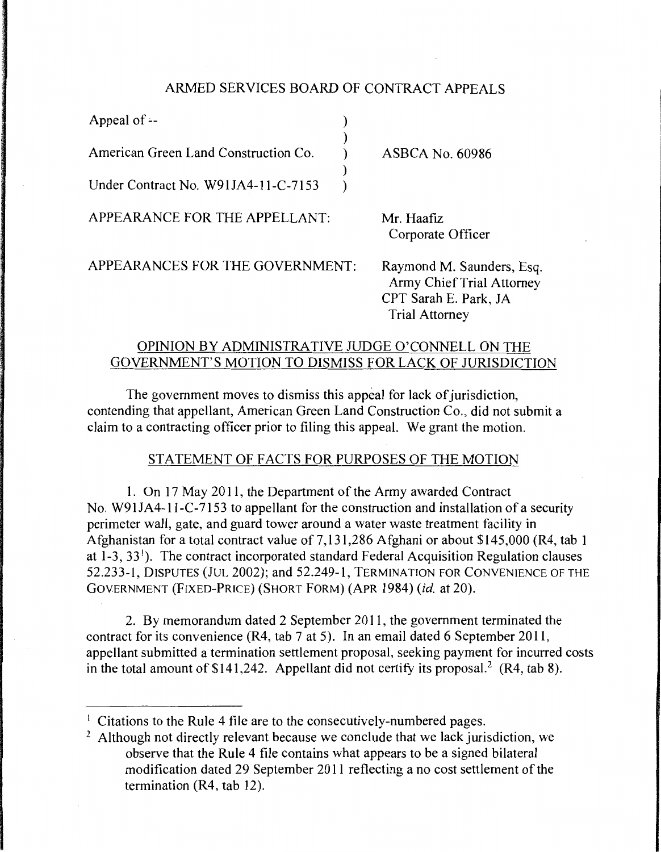### ARMED SERVICES BOARD OF CONTRACT APPEALS

| Appeal of --                         |                                 |
|--------------------------------------|---------------------------------|
| American Green Land Construction Co. | <b>ASBCA No. 60986</b>          |
| Under Contract No. W91JA4-11-C-7153  |                                 |
| APPEARANCE FOR THE APPELLANT:        | Mr. Haafiz<br>Corporate Officer |

APPEARANCES FOR THE GOVERNMENT:

Raymond M. Saunders, Esq. Army Chief Trial Attorney CPT Sarah E. Park, JA Trial Attorney

# OPINION BY ADMINISTRATIVE JUDGE O'CONNELL ON THE GOVERNMENT'S MOTION TO DISMISS FOR LACK OF JURISDICTION

The government moves to dismiss this appeal for lack of jurisdiction, contending that appellant, American Green Land Construction Co., did not submit a claim to a contracting officer prior to filing this appeal. We grant the motion.

## STATEMENT OF FACTS FOR PURPOSES OF THE MOTION

1. On 17 May 2011, the Department of the Army awarded Contract No. W91JA4-l l-C-7153 to appellant for the construction and installation of a security perimeter wall, gate, and guard tower around a water waste treatment facility in Afghanistan for a total contract value of 7,131,286 Afghani or about \$145,000 (R4, tab 1) at  $1-3$ ,  $33<sup>1</sup>$ ). The contract incorporated standard Federal Acquisition Regulation clauses 52.233-1, DISPUTES (JUL 2002); and 52.249-1, TERMINATION FOR CONVENIENCE OF THE GOVERNMENT (FIXED-PRICE) (SHORT FORM) (APR 1984) *(id.* at 20).

2. By memorandum dated 2 September 2011, the government terminated the contract for its convenience (R4, tab 7 at 5). In an email dated 6 September 2011, appellant submitted a termination settlement proposal, seeking payment for incurred costs in the total amount of  $$141,242$ . Appellant did not certify its proposal.<sup>2</sup> (R4, tab 8).

<sup>&</sup>lt;sup>1</sup> Citations to the Rule 4 file are to the consecutively-numbered pages.

<sup>&</sup>lt;sup>2</sup> Although not directly relevant because we conclude that we lack jurisdiction, we observe that the Rule 4 file contains what appears to be a signed bilateral modification dated 29 September 2011 reflecting a no cost settlement of the termination (R4, tab 12).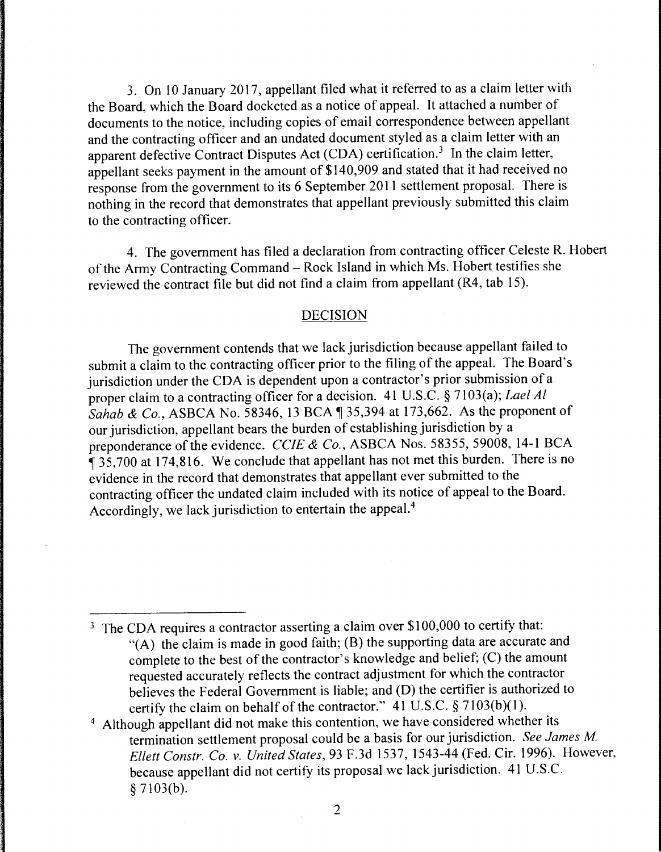3. On 10 January 2017, appellant filed what it referred to as a claim letter with the Board, which the Board docketed as a notice of appeal. It attached a number of documents to the notice, including copies of email correspondence between appellant and the contracting officer and an undated document styled as a claim letter with an apparent defective Contract Disputes Act (CDA) certification.<sup>3</sup> In the claim letter, appellant seeks payment in the amount of \$140,909 and stated that it had received no response from the government to its 6 September 2011 settlement proposal. There is nothing in the record that demonstrates that appellant previously submitted this claim to the contracting officer.

4. The government has filed a declaration from contracting officer Celeste R. Hobert of the Army Contracting Command - Rock Island in which Ms. Hobert testifies she reviewed the contract file but did not find a claim from appellant (R4, tab 15).

#### DECISION

The government contends that we lack jurisdiction because appellant failed to submit a claim to the contracting officer prior to the filing of the appeal. The Board's jurisdiction under the CDA is dependent upon a contractor's prior submission of a proper claim to a contracting officer for a decision. 41 U.S.C. § 7103(a); *Lael Al Sahab & Co.*, ASBCA No. 58346, 13 BCA  $\parallel$  35,394 at 173,662. As the proponent of our jurisdiction, appellant bears the burden of establishing jurisdiction by a preponderance of the evidence. *CCIE* & *Co.,* ASBCA Nos. 58355, 59008, 14-1 BCA <sup>~</sup>35,700 at 174,816. We conclude that appellant has not met this burden. There is no evidence in the record that demonstrates that appellant ever submitted to the contracting officer the undated claim included with its notice of appeal to the Board. Accordingly, we lack jurisdiction to entertain the appeal. 4

<sup>3</sup> The CDA requires a contractor asserting a claim over \$100,000 to certify that: "(A) the claim is made in good faith; (B) the supporting data are accurate and complete to the best of the contractor's knowledge and belief; (C) the amount requested accurately reflects the contract adjustment for which the contractor believes the Federal Government is liable; and (D) the certifier is authorized to certify the claim on behalf of the contractor." 41 U.S.C. § 7103(b)(l).

<sup>4</sup> Although appellant did not make this contention, we have considered whether its termination settlement proposal could be a basis for our jurisdiction. *See James M Ellett Constr. Co. v. United States,* 93 F.3d 1537, 1543-44 (Fed. Cir. 1996). However, because appellant did not certify its proposal we lack jurisdiction. 41 U.S.C. § 7103(b).